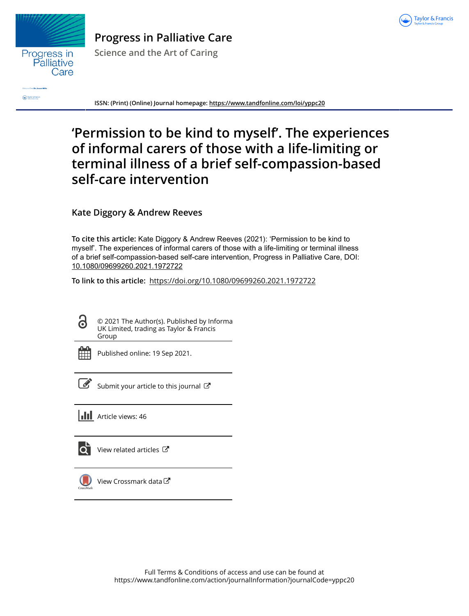



**Progress in Palliative Care Science and the Art of Caring**

**Contact & Francis** 

**ISSN: (Print) (Online) Journal homepage:<https://www.tandfonline.com/loi/yppc20>**

## **'Permission to be kind to myself'. The experiences of informal carers of those with a life-limiting or terminal illness of a brief self-compassion-based self-care intervention**

**Kate Diggory & Andrew Reeves**

**To cite this article:** Kate Diggory & Andrew Reeves (2021): 'Permission to be kind to myself'. The experiences of informal carers of those with a life-limiting or terminal illness of a brief self-compassion-based self-care intervention, Progress in Palliative Care, DOI: [10.1080/09699260.2021.1972722](https://www.tandfonline.com/action/showCitFormats?doi=10.1080/09699260.2021.1972722)

**To link to this article:** <https://doi.org/10.1080/09699260.2021.1972722>

© 2021 The Author(s). Published by Informa UK Limited, trading as Taylor & Francis Group

6

Published online: 19 Sep 2021.

[Submit your article to this journal](https://www.tandfonline.com/action/authorSubmission?journalCode=yppc20&show=instructions)  $\mathbb{Z}$ 

**III** Article views: 46



 $\overrightarrow{Q}$  [View related articles](https://www.tandfonline.com/doi/mlt/10.1080/09699260.2021.1972722)  $\overrightarrow{C}$ 



[View Crossmark data](http://crossmark.crossref.org/dialog/?doi=10.1080/09699260.2021.1972722&domain=pdf&date_stamp=2021-09-19)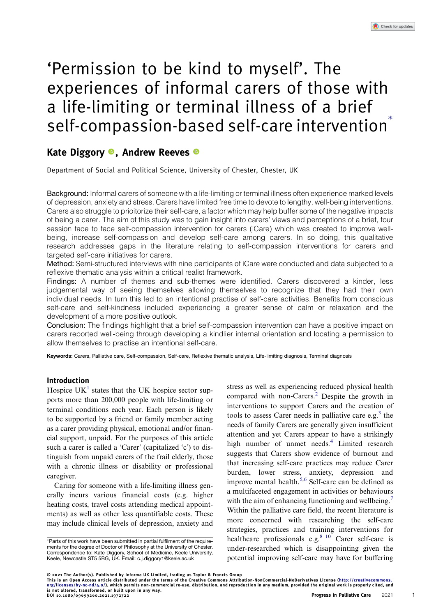# 'Permission to be kind to myself'. The experiences of informal carers of those with a life-limiting or terminal illness of a brief self-compassion-based self-care intervention<sup>®</sup>

## Kate Diggory <sup>®</sup>, Andrew Reeves <sup>®</sup>

Department of Social and Political Science, University of Chester, Chester, UK

Background: Informal carers of someone with a life-limiting or terminal illness often experience marked levels of depression, anxiety and stress. Carers have limited free time to devote to lengthy, well-being interventions. Carers also struggle to prioitorize their self-care, a factor which may help buffer some of the negative impacts of being a carer. The aim of this study was to gain insight into carers' views and perceptions of a brief, four session face to face self-compassion intervention for carers (iCare) which was created to improve wellbeing, increase self-compassion and develop self-care among carers. In so doing, this qualitative research addresses gaps in the literature relating to self-compassion interventions for carers and targeted self-care initiatives for carers.

Method: Semi-structured interviews with nine participants of iCare were conducted and data subjected to a reflexive thematic analysis within a critical realist framework.

Findings: A number of themes and sub-themes were identified. Carers discovered a kinder, less judgemental way of seeing themselves allowing themselves to recognize that they had their own individual needs. In turn this led to an intentional practise of self-care activities. Benefits from conscious self-care and self-kindness included experiencing a greater sense of calm or relaxation and the development of a more positive outlook.

Conclusion: The findings highlight that a brief self-compassion intervention can have a positive impact on carers reported well-being through developing a kindlier internal orientation and locating a permission to allow themselves to practise an intentional self-care.

Keywords: Carers, Palliative care, Self-compassion, Self-care, Reflexive thematic analysis, Life-limiting diagnosis, Terminal diagnosis

## Introduction

Hospice  $UK<sup>1</sup>$  states that the UK hospice sector supports more than 200,000 people with life-limiting or terminal conditions each year. Each person is likely to be supported by a friend or family member acting as a carer providing physical, emotional and/or financial support, unpaid. For the purposes of this article such a carer is called a 'Carer' (capitalized 'c') to distinguish from unpaid carers of the frail elderly, those with a chronic illness or disability or professional caregiver.

Caring for someone with a life-limiting illness generally incurs various financial costs (e.g. higher heating costs, travel costs attending medical appointments) as well as other less quantifiable costs. These may include clinical levels of depression, anxiety and

<span id="page-1-4"></span><span id="page-1-3"></span><span id="page-1-2"></span><span id="page-1-1"></span><span id="page-1-0"></span>stress as well as experiencing reduced physical health compared with non-Carers.[2](#page-8-1) Despite the growth in interventions to support Carers and the creation of tools to assess Carer needs in palliative care e.g.<sup>[3](#page-8-2)</sup> the needs of family Carers are generally given insufficient attention and yet Carers appear to have a strikingly high number of unmet needs.<sup>[4](#page-8-3)</sup> Limited research suggests that Carers show evidence of burnout and that increasing self-care practices may reduce Carer burden, lower stress, anxiety, depression and improve mental health.<sup>[5](#page-8-4)[,6](#page-8-5)</sup> Self-care can be defined as a multifaceted engagement in activities or behaviours with the aim of enhancing functioning and wellbeing.<sup>[7](#page-8-6)</sup> Within the palliative care field, the recent literature is more concerned with researching the self-care strategies, practices and training interventions for healthcare professionals e.g.<sup>8–10</sup> Carer self-care is under-researched which is disappointing given the potential improving self-care may have for buffering

© 2021 The Author(s). Published by Informa UK Limited, trading as Taylor & Francis Group

This is an Open Access article distributed under the terms of the Creative Commons Attribution-NonCommercial-NoDerivatives License ([http://creativecommons.](http://creativecommons.org/licenses/by-nc-nd/4.0/) [org/licenses/by-nc-nd/4.0/](http://creativecommons.org/licenses/by-nc-nd/4.0/)), which permits non-commercial re-use, distribution, and reproduction in any medium, provided the original work is properly cited, and is not altered, transformed, or built upon in any way. DOI 10.1080/09699260.2021.1972722 Progress in Palliative Care 2021

1

<sup>∗</sup>Parts of this work have been submitted in partial fulfilment of the requirements for the degree of Doctor of Philosophy at the University of Chester. Correspondence to: Kate Diggory, School of Medicine, Keele University, Keele, Newcastle ST5 5BG, UK. Email: [c.j.diggory1@keele.ac.uk](mailto:c.j.diggory1@keele.ac.uk)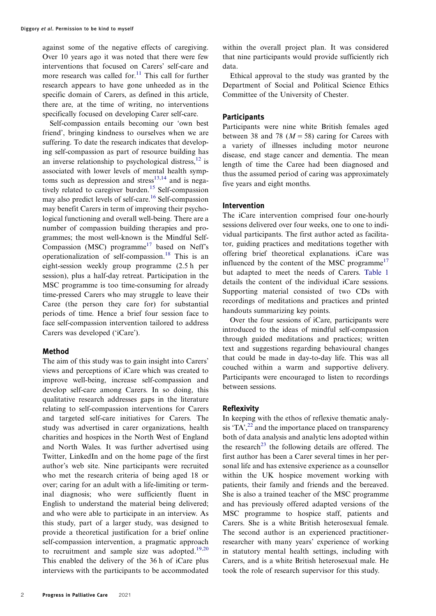<span id="page-2-0"></span>against some of the negative effects of caregiving. Over 10 years ago it was noted that there were few interventions that focused on Carers' self-care and more research was called for. $11$  This call for further research appears to have gone unheeded as in the specific domain of Carers, as defined in this article, there are, at the time of writing, no interventions specifically focused on developing Carer self-care.

<span id="page-2-4"></span><span id="page-2-3"></span><span id="page-2-2"></span><span id="page-2-1"></span>Self-compassion entails becoming our 'own best friend', bringing kindness to ourselves when we are suffering. To date the research indicates that developing self-compassion as part of resource building has an inverse relationship to psychological distress, $^{12}$  $^{12}$  $^{12}$  is associated with lower levels of mental health symp-toms such as depression and stress<sup>[13,](#page-8-9)[14](#page-8-10)</sup> and is nega-tively related to caregiver burden.<sup>[15](#page-8-11)</sup> Self-compassion may also predict levels of self-care[.16](#page-8-12) Self-compassion may benefit Carers in term of improving their psychological functioning and overall well-being. There are a number of compassion building therapies and programmes; the most well-known is the Mindful Self-Compassion (MSC) programme<sup>[17](#page-8-13)</sup> based on Neff's operationalization of self-compassion.[18](#page-8-14) This is an eight-session weekly group programme (2.5 h per session), plus a half-day retreat. Participation in the MSC programme is too time-consuming for already time-pressed Carers who may struggle to leave their Caree (the person they care for) for substantial periods of time. Hence a brief four session face to face self-compassion intervention tailored to address Carers was developed ('iCare').

## <span id="page-2-6"></span>Method

<span id="page-2-7"></span>The aim of this study was to gain insight into Carers' views and perceptions of iCare which was created to improve well-being, increase self-compassion and develop self-care among Carers. In so doing, this qualitative research addresses gaps in the literature relating to self-compassion interventions for Carers and targeted self-care initiatives for Carers. The study was advertised in carer organizations, health charities and hospices in the North West of England and North Wales. It was further advertised using Twitter, LinkedIn and on the home page of the first author's web site. Nine participants were recruited who met the research criteria of being aged 18 or over; caring for an adult with a life-limiting or terminal diagnosis; who were sufficiently fluent in English to understand the material being delivered; and who were able to participate in an interview. As this study, part of a larger study, was designed to provide a theoretical justification for a brief online self-compassion intervention, a pragmatic approach to recruitment and sample size was adopted. $19,20$  $19,20$  $19,20$ This enabled the delivery of the 36 h of iCare plus interviews with the participants to be accommodated

within the overall project plan. It was considered that nine participants would provide sufficiently rich data.

Ethical approval to the study was granted by the Department of Social and Political Science Ethics Committee of the University of Chester.

## **Participants**

Participants were nine white British females aged between 38 and 78 ( $M = 58$ ) caring for Carees with a variety of illnesses including motor neurone disease, end stage cancer and dementia. The mean length of time the Caree had been diagnosed and thus the assumed period of caring was approximately five years and eight months.

## Intervention

<span id="page-2-5"></span>The iCare intervention comprised four one-hourly sessions delivered over four weeks, one to one to individual participants. The first author acted as facilitator, guiding practices and meditations together with offering brief theoretical explanations. iCare was influenced by the content of the MSC programme<sup>[17](#page-8-13)</sup> but adapted to meet the needs of Carers. [Table 1](#page-3-0) details the content of the individual iCare sessions. Supporting material consisted of two CDs with recordings of meditations and practices and printed handouts summarizing key points.

Over the four sessions of iCare, participants were introduced to the ideas of mindful self-compassion through guided meditations and practices; written text and suggestions regarding behavioural changes that could be made in day-to-day life. This was all couched within a warm and supportive delivery. Participants were encouraged to listen to recordings between sessions.

## Reflexivity

<span id="page-2-9"></span><span id="page-2-8"></span>In keeping with the ethos of reflexive thematic analysis 'TA', $^{22}$  $^{22}$  $^{22}$  and the importance placed on transparency both of data analysis and analytic lens adopted within the research<sup>23</sup> the following details are offered. The first author has been a Carer several times in her personal life and has extensive experience as a counsellor within the UK hospice movement working with patients, their family and friends and the bereaved. She is also a trained teacher of the MSC programme and has previously offered adapted versions of the MSC programme to hospice staff, patients and Carers. She is a white British heterosexual female. The second author is an experienced practitionerresearcher with many years' experience of working in statutory mental health settings, including with Carers, and is a white British heterosexual male. He took the role of research supervisor for this study.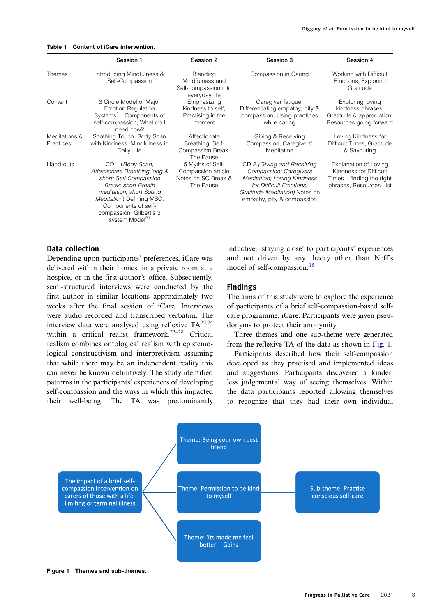#### <span id="page-3-0"></span>Table 1 Content of iCare intervention.

|                            | Session 1                                                                                                                                                                                                                                  | Session 2                                                                  | Session 3                                                                                                                                                                      | Session 4                                                                                               |
|----------------------------|--------------------------------------------------------------------------------------------------------------------------------------------------------------------------------------------------------------------------------------------|----------------------------------------------------------------------------|--------------------------------------------------------------------------------------------------------------------------------------------------------------------------------|---------------------------------------------------------------------------------------------------------|
| Themes                     | Introducing Mindfulness &<br>Self-Compassion                                                                                                                                                                                               | Blending<br>Mindfulness and<br>Self-compassion into<br>everyday life       | Compassion in Caring                                                                                                                                                           | Working with Difficult<br>Emotions, Exploring<br>Gratitude                                              |
| Content                    | 3 Circle Model of Major<br><b>Emotion Regulation</b><br>Systems <sup>21</sup> , Components of<br>self-compassion, What do I<br>need now?                                                                                                   | Emphasizing<br>kindness to self.<br>Practising in the<br>moment            | Caregiver fatigue,<br>Differentiating empathy, pity &<br>compassion, Using practices<br>while caring                                                                           | Exploring loving<br>kindness phrases,<br>Gratitude & appreciation,<br>Resources going forward           |
| Meditations &<br>Practices | Soothing Touch, Body Scan<br>with Kindness, Mindfulness in<br>Daily Life                                                                                                                                                                   | Affectionate<br>Breathing, Self-<br>Compassion Break,<br>The Pause         | Giving & Receiving<br>Compassion, Caregivers'<br>Meditation                                                                                                                    | Loving Kindness for<br>Difficult Times, Gratitude<br>& Savouring                                        |
| Hand-outs                  | CD 1 (Body Scan;<br>Affectionate Breathing long &<br>short: Self-Compassion<br>Break: short Breath<br>meditation; short Sound<br>Meditation) Defining MSC,<br>Components of self-<br>compassion, Gilbert's 3<br>system Model <sup>21</sup> | 5 Myths of Self-<br>Compassion article<br>Notes on SC Break &<br>The Pause | CD 2 (Giving and Receiving<br>Compassion; Caregivers<br>Meditation; Loving Kindness<br>for Difficult Emotions:<br>Gratitude Meditation) Notes on<br>empathy, pity & compassion | Explanation of Loving<br>Kindness for Difficult<br>Times – finding the right<br>phrases, Resources List |

## <span id="page-3-2"></span>Data collection

<span id="page-3-4"></span><span id="page-3-3"></span>Depending upon participants' preferences, iCare was delivered within their homes, in a private room at a hospice, or in the first author's office. Subsequently, semi-structured interviews were conducted by the first author in similar locations approximately two weeks after the final session of iCare. Interviews were audio recorded and transcribed verbatim. The interview data were analysed using reflexive  $TA^{22,24}$  $TA^{22,24}$  $TA^{22,24}$  $TA^{22,24}$ within a critical realist framework.<sup>25–28</sup> Critical realism combines ontological realism with epistemological constructivism and interpretivism assuming that while there may be an independent reality this can never be known definitively. The study identified patterns in the participants' experiences of developing self-compassion and the ways in which this impacted their well-being. The TA was predominantly

inductive, 'staying close' to participants' experiences and not driven by any theory other than Neff's model of self-compassion.<sup>[18](#page-8-14)</sup>

#### Findings

The aims of this study were to explore the experience of participants of a brief self-compassion-based selfcare programme, iCare. Participants were given pseudonyms to protect their anonymity.

Three themes and one sub-theme were generated from the reflexive TA of the data as shown in [Fig. 1.](#page-3-1)

Participants described how their self-compassion developed as they practised and implemented ideas and suggestions. Participants discovered a kinder, less judgemental way of seeing themselves. Within the data participants reported allowing themselves to recognize that they had their own individual

<span id="page-3-1"></span>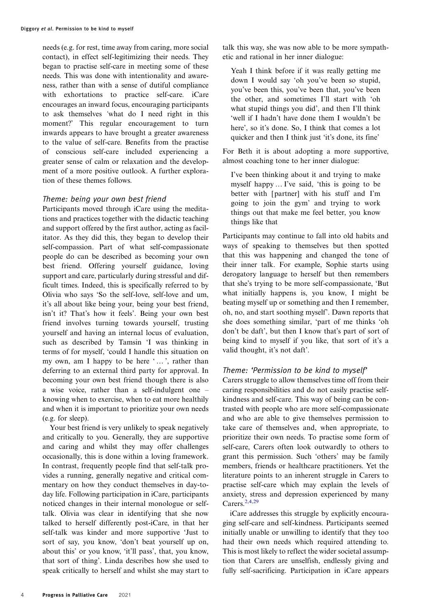needs (e.g. for rest, time away from caring, more social contact), in effect self-legitimizing their needs. They began to practise self-care in meeting some of these needs. This was done with intentionality and awareness, rather than with a sense of dutiful compliance with exhortations to practice self-care. iCare encourages an inward focus, encouraging participants to ask themselves 'what do I need right in this moment?' This regular encouragement to turn inwards appears to have brought a greater awareness to the value of self-care. Benefits from the practise of conscious self-care included experiencing a greater sense of calm or relaxation and the development of a more positive outlook. A further exploration of these themes follows.

## Theme: being your own best friend

Participants moved through iCare using the meditations and practices together with the didactic teaching and support offered by the first author, acting as facilitator. As they did this, they began to develop their self-compassion. Part of what self-compassionate people do can be described as becoming your own best friend. Offering yourself guidance, loving support and care, particularly during stressful and difficult times. Indeed, this is specifically referred to by Olivia who says 'So the self-love, self-love and um, it's all about like being your, being your best friend, isn't it? That's how it feels'. Being your own best friend involves turning towards yourself, trusting yourself and having an internal locus of evaluation, such as described by Tamsin 'I was thinking in terms of for myself, 'could I handle this situation on my own, am I happy to be here '…', rather than deferring to an external third party for approval. In becoming your own best friend though there is also a wise voice, rather than a self-indulgent one – knowing when to exercise, when to eat more healthily and when it is important to prioritize your own needs (e.g. for sleep).

Your best friend is very unlikely to speak negatively and critically to you. Generally, they are supportive and caring and whilst they may offer challenges occasionally, this is done within a loving framework. In contrast, frequently people find that self-talk provides a running, generally negative and critical commentary on how they conduct themselves in day-today life. Following participation in iCare, participants noticed changes in their internal monologue or selftalk. Olivia was clear in identifying that she now talked to herself differently post-iCare, in that her self-talk was kinder and more supportive 'Just to sort of say, you know, 'don't beat yourself up on, about this' or you know, 'it'll pass', that, you know, that sort of thing'. Linda describes how she used to speak critically to herself and whilst she may start to

talk this way, she was now able to be more sympathetic and rational in her inner dialogue:

Yeah I think before if it was really getting me down I would say 'oh you've been so stupid, you've been this, you've been that, you've been the other, and sometimes I'll start with 'oh what stupid things you did', and then I'll think 'well if I hadn't have done them I wouldn't be here', so it's done. So, I think that comes a lot quicker and then I think just 'it's done, its fine'

For Beth it is about adopting a more supportive, almost coaching tone to her inner dialogue:

I've been thinking about it and trying to make myself happy … I've said, 'this is going to be better with [partner] with his stuff and I'm going to join the gym' and trying to work things out that make me feel better, you know things like that

Participants may continue to fall into old habits and ways of speaking to themselves but then spotted that this was happening and changed the tone of their inner talk. For example, Sophie starts using derogatory language to herself but then remembers that she's trying to be more self-compassionate, 'But what initially happens is, you know, I might be beating myself up or something and then I remember, oh, no, and start soothing myself'. Dawn reports that she does something similar, 'part of me thinks 'oh don't be daft', but then I know that's part of sort of being kind to myself if you like, that sort of it's a valid thought, it's not daft'.

## Theme: 'Permission to be kind to myself'

Carers struggle to allow themselves time off from their caring responsibilities and do not easily practise selfkindness and self-care. This way of being can be contrasted with people who are more self-compassionate and who are able to give themselves permission to take care of themselves and, when appropriate, to prioritize their own needs. To practise some form of self-care, Carers often look outwardly to others to grant this permission. Such 'others' may be family members, friends or healthcare practitioners. Yet the literature points to an inherent struggle in Carers to practise self-care which may explain the levels of anxiety, stress and depression experienced by many Carers.<sup>[2](#page-8-1)[,4,](#page-8-3)[29](#page-8-21)</sup>

<span id="page-4-0"></span>iCare addresses this struggle by explicitly encouraging self-care and self-kindness. Participants seemed initially unable or unwilling to identify that they too had their own needs which required attending to. This is most likely to reflect the wider societal assumption that Carers are unselfish, endlessly giving and fully self-sacrificing. Participation in iCare appears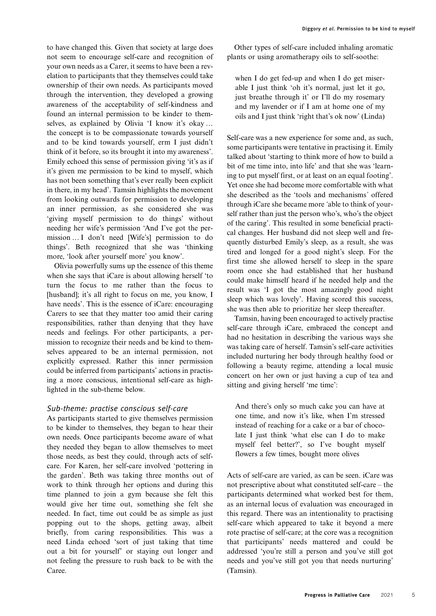to have changed this. Given that society at large does not seem to encourage self-care and recognition of your own needs as a Carer, it seems to have been a revelation to participants that they themselves could take ownership of their own needs. As participants moved through the intervention, they developed a growing awareness of the acceptability of self-kindness and found an internal permission to be kinder to themselves, as explained by Olivia 'I know it's okay … the concept is to be compassionate towards yourself and to be kind towards yourself, erm I just didn't think of it before, so its brought it into my awareness'. Emily echoed this sense of permission giving 'it's as if it's given me permission to be kind to myself, which has not been something that's ever really been explicit in there, in my head'. Tamsin highlights the movement from looking outwards for permission to developing an inner permission, as she considered she was 'giving myself permission to do things' without needing her wife's permission 'And I've got the permission … I don't need [Wife's] permission to do things'. Beth recognized that she was 'thinking more, 'look after yourself more' you know'.

Olivia powerfully sums up the essence of this theme when she says that iCare is about allowing herself 'to turn the focus to me rather than the focus to [husband]; it's all right to focus on me, you know, I have needs'. This is the essence of iCare: encouraging Carers to see that they matter too amid their caring responsibilities, rather than denying that they have needs and feelings. For other participants, a permission to recognize their needs and be kind to themselves appeared to be an internal permission, not explicitly expressed. Rather this inner permission could be inferred from participants' actions in practising a more conscious, intentional self-care as highlighted in the sub-theme below.

## Sub-theme: practise conscious self-care

As participants started to give themselves permission to be kinder to themselves, they began to hear their own needs. Once participants become aware of what they needed they began to allow themselves to meet those needs, as best they could, through acts of selfcare. For Karen, her self-care involved 'pottering in the garden'. Beth was taking three months out of work to think through her options and during this time planned to join a gym because she felt this would give her time out, something she felt she needed. In fact, time out could be as simple as just popping out to the shops, getting away, albeit briefly, from caring responsibilities. This was a need Linda echoed 'sort of just taking that time out a bit for yourself' or staying out longer and not feeling the pressure to rush back to be with the Caree.

Other types of self-care included inhaling aromatic plants or using aromatherapy oils to self-soothe:

when I do get fed-up and when I do get miserable I just think 'oh it's normal, just let it go, just breathe through it' or I'll do my rosemary and my lavender or if I am at home one of my oils and I just think 'right that's ok now' (Linda)

Self-care was a new experience for some and, as such, some participants were tentative in practising it. Emily talked about 'starting to think more of how to build a bit of me time into, into life' and that she was 'learning to put myself first, or at least on an equal footing'. Yet once she had become more comfortable with what she described as the 'tools and mechanisms' offered through iCare she became more 'able to think of yourself rather than just the person who's, who's the object of the caring'. This resulted in some beneficial practical changes. Her husband did not sleep well and frequently disturbed Emily's sleep, as a result, she was tired and longed for a good night's sleep. For the first time she allowed herself to sleep in the spare room once she had established that her husband could make himself heard if he needed help and the result was 'I got the most amazingly good night sleep which was lovely'. Having scored this success, she was then able to prioritize her sleep thereafter.

Tamsin, having been encouraged to actively practise self-care through iCare, embraced the concept and had no hesitation in describing the various ways she was taking care of herself. Tamsin's self-care activities included nurturing her body through healthy food or following a beauty regime, attending a local music concert on her own or just having a cup of tea and sitting and giving herself 'me time':

And there's only so much cake you can have at one time, and now it's like, when I'm stressed instead of reaching for a cake or a bar of chocolate I just think 'what else can I do to make myself feel better?', so I've bought myself flowers a few times, bought more olives

Acts of self-care are varied, as can be seen. iCare was not prescriptive about what constituted self-care – the participants determined what worked best for them, as an internal locus of evaluation was encouraged in this regard. There was an intentionality to practising self-care which appeared to take it beyond a mere rote practise of self-care; at the core was a recognition that participants' needs mattered and could be addressed 'you're still a person and you've still got needs and you've still got you that needs nurturing' (Tamsin).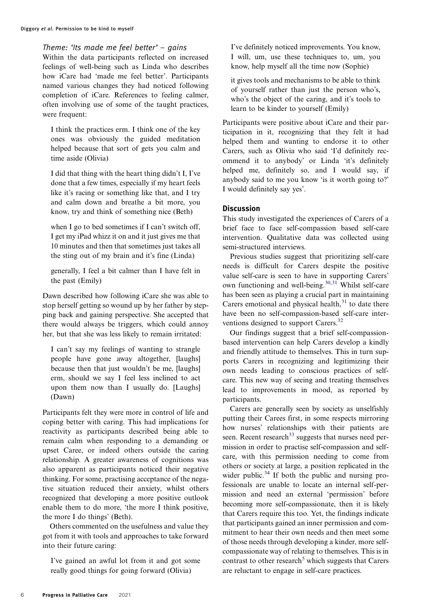Theme: 'Its made me feel better' – gains

Within the data participants reflected on increased feelings of well-being such as Linda who describes how iCare had 'made me feel better'. Participants named various changes they had noticed following completion of iCare. References to feeling calmer, often involving use of some of the taught practices, were frequent:

I think the practices erm. I think one of the key ones was obviously the guided meditation helped because that sort of gets you calm and time aside (Olivia)

I did that thing with the heart thing didn't I, I've done that a few times, especially if my heart feels like it's racing or something like that, and I try and calm down and breathe a bit more, you know, try and think of something nice (Beth)

when I go to bed sometimes if I can't switch off, I get my iPad whizz it on and it just gives me that 10 minutes and then that sometimes just takes all the sting out of my brain and it's fine (Linda)

generally, I feel a bit calmer than I have felt in the past (Emily)

Dawn described how following iCare she was able to stop herself getting so wound up by her father by stepping back and gaining perspective. She accepted that there would always be triggers, which could annoy her, but that she was less likely to remain irritated:

I can't say my feelings of wanting to strangle people have gone away altogether, [laughs] because then that just wouldn't be me, [laughs] erm, should we say I feel less inclined to act upon them now than I usually do. [Laughs] (Dawn)

Participants felt they were more in control of life and coping better with caring. This had implications for reactivity as participants described being able to remain calm when responding to a demanding or upset Caree, or indeed others outside the caring relationship. A greater awareness of cognitions was also apparent as participants noticed their negative thinking. For some, practising acceptance of the negative situation reduced their anxiety, whilst others recognized that developing a more positive outlook enable them to do more, 'the more I think positive, the more I do things' (Beth).

Others commented on the usefulness and value they got from it with tools and approaches to take forward into their future caring:

I've gained an awful lot from it and got some really good things for going forward (Olivia)

I've definitely noticed improvements. You know, I will, um, use these techniques to, um, you know, help myself all the time now (Sophie)

it gives tools and mechanisms to be able to think of yourself rather than just the person who's, who's the object of the caring, and it's tools to learn to be kinder to yourself (Emily)

Participants were positive about iCare and their participation in it, recognizing that they felt it had helped them and wanting to endorse it to other Carers, such as Olivia who said 'I'd definitely recommend it to anybody' or Linda 'it's definitely helped me, definitely so, and I would say, if anybody said to me you know 'is it worth going to?' I would definitely say yes'.

## **Discussion**

This study investigated the experiences of Carers of a brief face to face self-compassion based self-care intervention. Qualitative data was collected using semi-structured interviews.

<span id="page-6-0"></span>Previous studies suggest that prioritizing self-care needs is difficult for Carers despite the positive value self-care is seen to have in supporting Carers' own functioning and well-being.<sup>[30](#page-9-0)[,31](#page-9-1)</sup> Whilst self-care has been seen as playing a crucial part in maintaining Carers emotional and physical health, $31$  to date there have been no self-compassion-based self-care inter-ventions designed to support Carers.<sup>[32](#page-9-2)</sup>

<span id="page-6-2"></span><span id="page-6-1"></span>Our findings suggest that a brief self-compassionbased intervention can help Carers develop a kindly and friendly attitude to themselves. This in turn supports Carers in recognizing and legitimizing their own needs leading to conscious practices of selfcare. This new way of seeing and treating themselves lead to improvements in mood, as reported by participants.

<span id="page-6-4"></span><span id="page-6-3"></span>Carers are generally seen by society as unselfishly putting their Carees first, in some respects mirroring how nurses' relationships with their patients are seen. Recent research<sup>[33](#page-9-3)</sup> suggests that nurses need permission in order to practise self-compassion and selfcare, with this permission needing to come from others or society at large, a position replicated in the wider public. $34$  If both the public and nursing professionals are unable to locate an internal self-permission and need an external 'permission' before becoming more self-compassionate, then it is likely that Carers require this too. Yet, the findings indicate that participants gained an inner permission and commitment to hear their own needs and then meet some of those needs through developing a kinder, more selfcompassionate way of relating to themselves. This is in contrast to other research<sup>[5](#page-8-4)</sup> which suggests that Carers are reluctant to engage in self-care practices.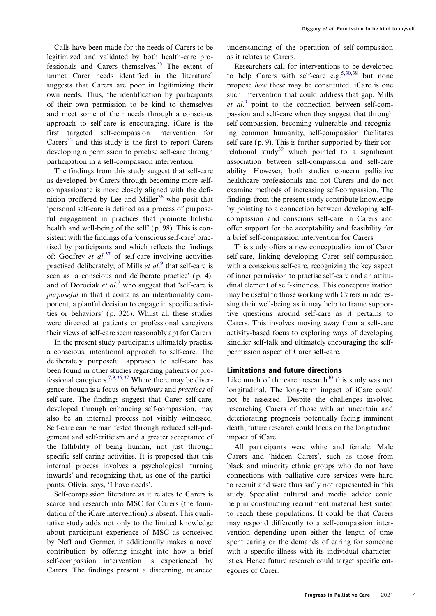<span id="page-7-1"></span>Calls have been made for the needs of Carers to be legitimized and validated by both health-care pro-fessionals and Carers themselves.<sup>[35](#page-9-5)</sup> The extent of unmet Carer needs identified in the literature<sup>[4](#page-8-3)</sup> suggests that Carers are poor in legitimizing their own needs. Thus, the identification by participants of their own permission to be kind to themselves and meet some of their needs through a conscious approach to self-care is encouraging. iCare is the first targeted self-compassion intervention for  $C \, \text{arers}^{32}$  $C \, \text{arers}^{32}$  $C \, \text{arers}^{32}$  and this study is the first to report Carers developing a permission to practise self-care through participation in a self-compassion intervention.

The findings from this study suggest that self-care as developed by Carers through becoming more selfcompassionate is more closely aligned with the defi-nition proffered by Lee and Miller<sup>[36](#page-9-6)</sup> who posit that 'personal self-care is defined as a process of purposeful engagement in practices that promote holistic health and well-being of the self' (p. 98). This is consistent with the findings of a 'conscious self-care' practised by participants and which reflects the findings of: Godfrey et  $al$ .<sup>[37](#page-9-7)</sup> of self-care involving activities practised deliberately; of Mills et al.<sup>[9](#page-8-22)</sup> that self-care is seen as 'a conscious and deliberate practice' (p. 4); and of Dorociak et  $al$ .<sup>[7](#page-8-6)</sup> who suggest that 'self-care is purposeful in that it contains an intentionality component, a planful decision to engage in specific activities or behaviors' (p. 326). Whilst all these studies were directed at patients or professional caregivers their views of self-care seem reasonably apt for Carers.

<span id="page-7-2"></span>In the present study participants ultimately practise a conscious, intentional approach to self-care. The deliberately purposeful approach to self-care has been found in other studies regarding patients or pro-fessional caregivers.<sup>[7,](#page-8-6)[9](#page-8-22)[,36,](#page-9-6)[37](#page-9-7)</sup> Where there may be divergence though is a focus on behaviours and practices of self-care. The findings suggest that Carer self-care, developed through enhancing self-compassion, may also be an internal process not visibly witnessed. Self-care can be manifested through reduced self-judgement and self-criticism and a greater acceptance of the fallibility of being human, not just through specific self-caring activities. It is proposed that this internal process involves a psychological 'turning inwards' and recognizing that, as one of the participants, Olivia, says, 'I have needs'.

Self-compassion literature as it relates to Carers is scarce and research into MSC for Carers (the foundation of the iCare intervention) is absent. This qualitative study adds not only to the limited knowledge about participant experience of MSC as conceived by Neff and Germer, it additionally makes a novel contribution by offering insight into how a brief self-compassion intervention is experienced by Carers. The findings present a discerning, nuanced

understanding of the operation of self-compassion as it relates to Carers.

<span id="page-7-4"></span><span id="page-7-3"></span><span id="page-7-0"></span>Researchers call for interventions to be developed to help Carers with self-care e.g.  $5,30,38$  $5,30,38$  $5,30,38$  but none propose how these may be constituted. iCare is one such intervention that could address that gap. Mills et al.<sup>[9](#page-8-22)</sup> point to the connection between self-compassion and self-care when they suggest that through self-compassion, becoming vulnerable and recognizing common humanity, self-compassion facilitates self-care (p. 9). This is further supported by their cor-relational study<sup>[39](#page-9-9)</sup> which pointed to a significant association between self-compassion and self-care ability. However, both studies concern palliative healthcare professionals and not Carers and do not examine methods of increasing self-compassion. The findings from the present study contribute knowledge by pointing to a connection between developing selfcompassion and conscious self-care in Carers and offer support for the acceptability and feasibility for a brief self-compassion intervention for Carers.

This study offers a new conceptualization of Carer self-care, linking developing Carer self-compassion with a conscious self-care, recognizing the key aspect of inner permission to practise self-care and an attitudinal element of self-kindness. This conceptualization may be useful to those working with Carers in addressing their well-being as it may help to frame supportive questions around self-care as it pertains to Carers. This involves moving away from a self-care activity-based focus to exploring ways of developing kindlier self-talk and ultimately encouraging the selfpermission aspect of Carer self-care.

## <span id="page-7-5"></span>Limitations and future directions

Like much of the carer research $40$  this study was not longitudinal. The long-term impact of iCare could not be assessed. Despite the challenges involved researching Carers of those with an uncertain and deteriorating prognosis potentially facing imminent death, future research could focus on the longitudinal impact of iCare.

All participants were white and female. Male Carers and 'hidden Carers', such as those from black and minority ethnic groups who do not have connections with palliative care services were hard to recruit and were thus sadly not represented in this study. Specialist cultural and media advice could help in constructing recruitment material best suited to reach these populations. It could be that Carers may respond differently to a self-compassion intervention depending upon either the length of time spent caring or the demands of caring for someone with a specific illness with its individual characteristics. Hence future research could target specific categories of Carer.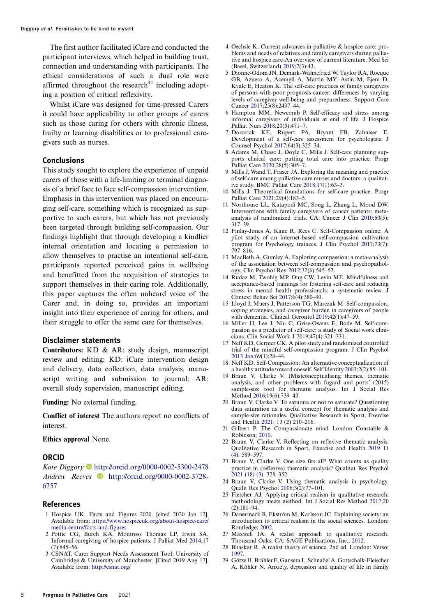The first author facilitated iCare and conducted the participant interviews, which helped in building trust, connection and understanding with participants. The ethical considerations of such a dual role were affirmed throughout the research $41$  including adopting a position of critical reflexivity.

<span id="page-8-23"></span>Whilst iCare was designed for time-pressed Carers it could have applicability to other groups of carers such as those caring for others with chronic illness, frailty or learning disabilities or to professional caregivers such as nurses.

#### Conclusions

This study sought to explore the experience of unpaid carers of those with a life-limiting or terminal diagnosis of a brief face to face self-compassion intervention. Emphasis in this intervention was placed on encouraging self-care, something which is recognized as supportive to such carers, but which has not previously been targeted through building self-compassion. Our findings highlight that through developing a kindlier internal orientation and locating a permission to allow themselves to practise an intentional self-care, participants reported perceived gains in wellbeing and benefitted from the acquisition of strategies to support themselves in their caring role. Additionally, this paper captures the often unheard voice of the Carer and, in doing so, provides an important insight into their experience of caring for others, and their struggle to offer the same care for themselves.

#### Disclaimer statements

Contributors: KD & AR: study design, manuscript review and editing; KD: iCare intervention design and delivery, data collection, data analysis, manuscript writing and submission to journal; AR: overall study supervision, manuscript editing.

Funding: No external funding.

Conflict of interest The authors report no conflicts of interest.

Ethics approval None.

#### ORCID

Kate Diggory  $\bullet$  <http://orcid.org/0000-0002-5300-2478> Andrew Reeves [http://orcid.org/0000-0002-3728-](http://orcid.org/0000-0002-3728-6757) [6757](http://orcid.org/0000-0002-3728-6757)

#### References

- <span id="page-8-0"></span>1 Hospice UK. Facts and Figures 2020. [cited 2020 Jan 12]. Available from: [https://www.hospiceuk.org/about-hospice-care/](https://www.hospiceuk.org/about-hospice-care/media-centre/facts-and-figures) [media-centre/facts-and-figures](https://www.hospiceuk.org/about-hospice-care/media-centre/facts-and-figures)
- <span id="page-8-1"></span>2 Pottie CG, Burch KA, Montross Thomas LP, Irwin SA. Informal caregiving of hospice patients. J Palliat Med [2014;](#page-1-0)17 (7):845–56.
- <span id="page-8-2"></span>3 CSNAT. Carer Support Needs Assessment Tool: University of Cambridge & University of Manchester. [Cited 2019 Aug 17]. Available from: <http://csnat.org/>
- <span id="page-8-3"></span>4 Oechsle K. Current advances in palliative & hospice care: problems and needs of relatives and family caregivers during palliative and hospice care-An overview of current literature. Med Sci (Basel, Switzerland) [2019;](#page-1-1)7(3):43.
- <span id="page-8-4"></span>5 Dionne-Odom JN, Demark-Wahnefried W, Taylor RA, Rocque GB, Azuero A, Acemgil A, Martin MY, Astin M, Ejem D, Kvale E, Heaton K. The self-care practices of family caregivers of persons with poor prognosis cancer: differences by varying levels of caregiver well-being and preparedness. Support Care Cancer [2017;](#page-1-2)25(8):2437–44.
- <span id="page-8-5"></span>6 Hampton MM, Newcomb P. Self-efficacy and stress among informal caregivers of individuals at end of life. J Hospice Palliat Nurs [2018;](#page-1-2)20(5):471–7.
- <span id="page-8-6"></span>7 Dorociak KE, Rupert PA, Bryant FB, Zahniser E. Development of a self-care assessment for psychologists. J Counsel Psychol [2017;](#page-1-3)64(3):325–34.
- 8 Adams M, Chase J, Doyle C, Mills J. Self-care planning supports clinical care: putting total care into practice. Progr Palliat Care [2020;](#page-1-4)28(5):305–7.
- <span id="page-8-22"></span>9 Mills J, Wand T, Fraser JA. Exploring the meaning and practice of self-care among palliative care nurses and doctors: a qualitative study. BMC Palliat Care [2018;](#page-7-0)17(1):63–3.
- 10 Mills J. Theoretical foundations for self-care practice. Progr Palliat Care 2021;29(4):183–5.
- <span id="page-8-7"></span>11 Northouse LL, Katapodi MC, Song L, Zhang L, Mood DW. Interventions with family caregivers of cancer patients: metaanalysis of randomized trials. CA: Cancer J Clin [2010](#page-2-0);60(5): 317–39.
- <span id="page-8-8"></span>12 Finlay-Jones A, Kane R, Rees C. Self-Compassion online: A pilot study of an internet-based self-compassion cultivation program for Psychology trainees. J Clin Psychol [2017](#page-2-1);73(7): 797–816.
- <span id="page-8-9"></span>13 MacBeth A, Gumley A. Exploring compassion: a meta-analysis of the association between self-compassion and psychopathology. Clin Psychol Rev [2012;](#page-2-2)32(6):545–52.
- <span id="page-8-10"></span>14 Rudaz M, Twohig MP, Ong CW, Levin ME. Mindfulness and acceptance-based trainings for fostering self-care and reducing stress in mental health professionals: a systematic review. J Context Behav Sci [2017](#page-2-2);6(4):380–90.
- <span id="page-8-11"></span>15 Lloyd J, Muers J, Patterson TG, Marczak M. Self-compassion, coping strategies, and caregiver burden in caregivers of people with dementia. Clinical Gerontol [2019;](#page-2-3)42(1):47–59.
- <span id="page-8-12"></span>16 Miller JJ, Lee J, Niu C, Grise-Owens E, Bode M. Self-compassion as a predictor of self-care: a study of Social work clinicians. Clin Social Work J [2019](#page-2-4);47(4):321–331.
- <span id="page-8-13"></span>17 Neff KD, Germer CK. A pilot study and randomized controlled trial of the mindful self-compassion program. J Clin Psychol [2013 Jan](#page-2-5);69(1):28–44.
- <span id="page-8-14"></span>18 Neff KD. Self-Compassion: An alternative conceptualization of a healthy attitude toward oneself. Self Identity [2003](#page-2-6);2(2):85–101.
- <span id="page-8-15"></span>19 Braun V, Clarke V. (Mis)conceptualising themes, thematic analysis, and other problems with fugard and potts' (2015) sample-size tool for thematic analysis. Int J Social Res Method [2016;](#page-2-7)19(6):739–43.
- <span id="page-8-16"></span>20 Braun V, Clarke V. To saturate or not to saturate? Questioning data saturation as a useful concept for thematic analysis and sample-size rationales. Qualitative Research in Sport, Exercise and Health [2021](#page-2-7): 13 (2) 210–216.
- <span id="page-8-20"></span>21 Gilbert P. The Compassionate mind London Constable & Robinson; [2010.](#page-3-2)
- <span id="page-8-17"></span>22 Braun V, Clarke V. Reflecting on reflexive thematic analysis. Qualitative Research in Sport, Exercise and Health [2019 11](#page-2-8) [\(4\)](#page-2-8): 589–597.
- <span id="page-8-18"></span>23 Braun V, Clarke V. One size fits all? What counts as quality practice in (reflexive) thematic analysis? Qualitat Res Psychol [2021 \(18\) \(3\):](#page-2-9) 328–352.
- <span id="page-8-19"></span>24 Braun V, Clarke V. Using thematic analysis in psychology. Qualit Res Psychol [2006;](#page-3-3)3(2):77–101.
- 25 Fletcher AJ. Applying critical realism in qualitative research: methodology meets method. Int J Social Res Method [2017;](#page-3-4)20 (2):181–94.
- 26 Danermark B, Ekström M, Karlsson JC. Explaining society: an introduction to critical realism in the social sciences. London: Routledge; 2002.
- 27 Maxwell JA. A realist approach to qualitative research. Thousand Oaks, CA: SAGE Publications, Inc.; 2012.
- 28 Bhaskar R. A realist theory of science. 2nd ed. London: Verso; 1997.
- <span id="page-8-21"></span>29 GötzeH, Brähler E, Gansera L, Schnabel A,Gottschalk-Fleischer A, Köhler N. Anxiety, depression and quality of life in family